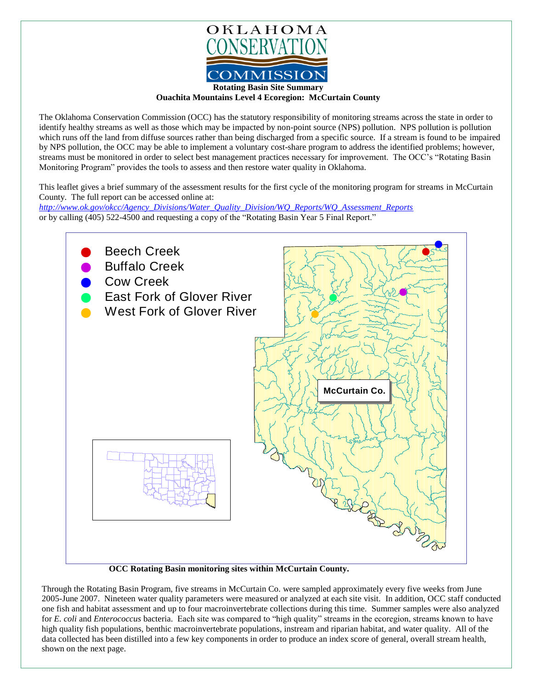

**Ouachita Mountains Level 4 Ecoregion: McCurtain County**

The Oklahoma Conservation Commission (OCC) has the statutory responsibility of monitoring streams across the state in order to identify healthy streams as well as those which may be impacted by non-point source (NPS) pollution. NPS pollution is pollution which runs off the land from diffuse sources rather than being discharged from a specific source. If a stream is found to be impaired by NPS pollution, the OCC may be able to implement a voluntary cost-share program to address the identified problems; however, streams must be monitored in order to select best management practices necessary for improvement. The OCC's "Rotating Basin Monitoring Program" provides the tools to assess and then restore water quality in Oklahoma.

This leaflet gives a brief summary of the assessment results for the first cycle of the monitoring program for streams in McCurtain County. The full report can be accessed online at:

*[http://www.ok.gov/okcc/Agency\\_Divisions/Water\\_Quality\\_Division/WQ\\_Reports/WQ\\_Assessment\\_Reports](http://www.ok.gov/okcc/Agency_Divisions/Water_Quality_Division/WQ_Reports/WQ_Assessment_Reports)* or by calling (405) 522-4500 and requesting a copy of the "Rotating Basin Year 5 Final Report."



 **OCC Rotating Basin monitoring sites within McCurtain County.** 

Through the Rotating Basin Program, five streams in McCurtain Co. were sampled approximately every five weeks from June 2005-June 2007. Nineteen water quality parameters were measured or analyzed at each site visit. In addition, OCC staff conducted one fish and habitat assessment and up to four macroinvertebrate collections during this time. Summer samples were also analyzed for *E. coli* and *Enterococcus* bacteria. Each site was compared to "high quality" streams in the ecoregion, streams known to have high quality fish populations, benthic macroinvertebrate populations, instream and riparian habitat, and water quality. All of the data collected has been distilled into a few key components in order to produce an index score of general, overall stream health, shown on the next page.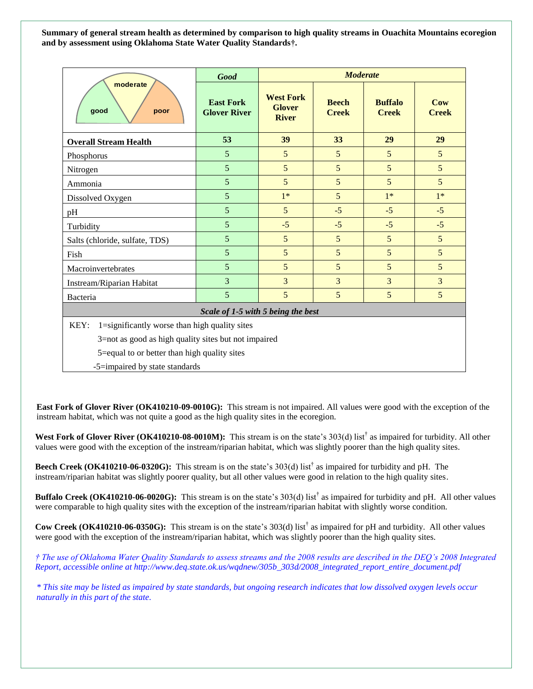**Summary of general stream health as determined by comparison to high quality streams in Ouachita Mountains ecoregion and by assessment using Oklahoma State Water Quality Standards†.**

| moderate<br>good<br>poor                              | <b>Good</b>                             | <b>Moderate</b>                                   |                              |                                |                     |
|-------------------------------------------------------|-----------------------------------------|---------------------------------------------------|------------------------------|--------------------------------|---------------------|
|                                                       | <b>East Fork</b><br><b>Glover River</b> | <b>West Fork</b><br><b>Glover</b><br><b>River</b> | <b>Beech</b><br><b>Creek</b> | <b>Buffalo</b><br><b>Creek</b> | Cow<br><b>Creek</b> |
| <b>Overall Stream Health</b>                          | 53                                      | 39                                                | 33                           | 29                             | 29                  |
| Phosphorus                                            | 5                                       | 5                                                 | 5                            | 5                              | 5                   |
| Nitrogen                                              | 5                                       | 5                                                 | 5                            | 5                              | 5                   |
| Ammonia                                               | 5                                       | 5                                                 | 5                            | 5                              | 5                   |
| Dissolved Oxygen                                      | 5                                       | $1*$                                              | 5                            | $1*$                           | $1*$                |
| pH                                                    | 5                                       | 5                                                 | $-5$                         | $-5$                           | $-5$                |
| Turbidity                                             | 5                                       | $-5$                                              | $-5$                         | $-5$                           | $-5$                |
| Salts (chloride, sulfate, TDS)                        | 5                                       | 5                                                 | 5                            | 5                              | 5                   |
| Fish                                                  | 5                                       | 5                                                 | 5                            | 5                              | 5                   |
| Macroinvertebrates                                    | 5                                       | 5                                                 | 5                            | 5                              | 5                   |
| Instream/Riparian Habitat                             | 3                                       | $\overline{3}$                                    | $\overline{3}$               | 3                              | 3                   |
| Bacteria                                              | 5                                       | 5                                                 | 5                            | 5                              | 5                   |
| Scale of 1-5 with 5 being the best                    |                                         |                                                   |                              |                                |                     |
| KEY:<br>1=significantly worse than high quality sites |                                         |                                                   |                              |                                |                     |
| 3=not as good as high quality sites but not impaired  |                                         |                                                   |                              |                                |                     |
| 5=equal to or better than high quality sites          |                                         |                                                   |                              |                                |                     |
| -5=impaired by state standards                        |                                         |                                                   |                              |                                |                     |

**East Fork of Glover River (OK410210-09-0010G):** This stream is not impaired. All values were good with the exception of the instream habitat, which was not quite a good as the high quality sites in the ecoregion.

West Fork of Glover River (OK410210-08-0010M): This stream is on the state's 303(d) list<sup>†</sup> as impaired for turbidity. All other values were good with the exception of the instream/riparian habitat, which was slightly poorer than the high quality sites.

**Beech Creek (OK410210-06-0320G):** This stream is on the state's 303(d) list† as impaired for turbidity and pH. The instream/riparian habitat was slightly poorer quality, but all other values were good in relation to the high quality sites.

**Buffalo Creek (OK410210-06-0020G):** This stream is on the state's 303(d) list<sup>†</sup> as impaired for turbidity and pH. All other values were comparable to high quality sites with the exception of the instream/riparian habitat with slightly worse condition.

**Cow Creek (OK410210-06-0350G):** This stream is on the state's 303(d) list† as impaired for pH and turbidity. All other values were good with the exception of the instream/riparian habitat, which was slightly poorer than the high quality sites.

*† The use of Oklahoma Water Quality Standards to assess streams and the 2008 results are described in the DEQ's 2008 Integrated Report, accessible online at http://www.deq.state.ok.us/wqdnew/305b\_303d/2008\_integrated\_report\_entire\_document.pdf*

*\* This site may be listed as impaired by state standards, but ongoing research indicates that low dissolved oxygen levels occur naturally in this part of the state.*